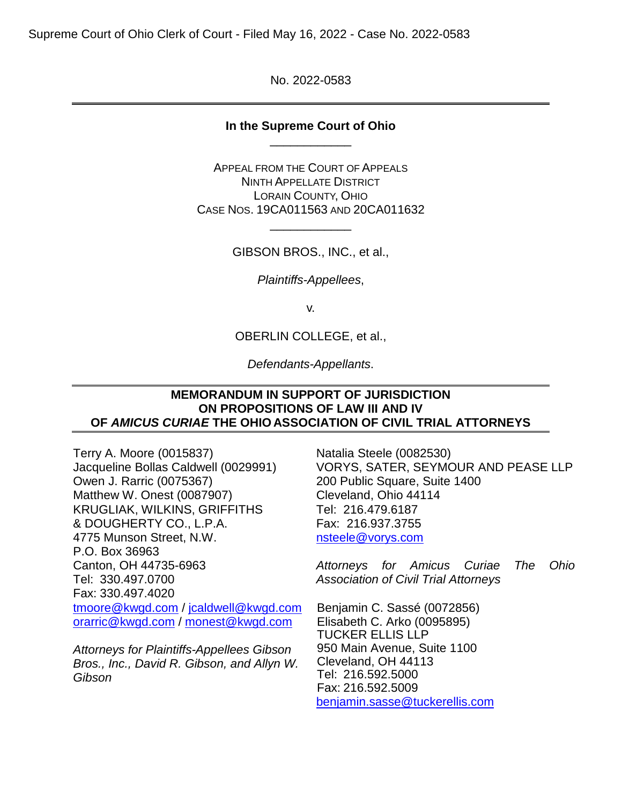Supreme Court of Ohio Clerk of Court - Filed May 16, 2022 - Case No. 2022-0583

No. 2022-0583

## **In the Supreme Court of Ohio** \_\_\_\_\_\_\_\_\_\_\_\_

APPEAL FROM THE COURT OF APPEALS NINTH APPELLATE DISTRICT LORAIN COUNTY, OHIO CASE NOS. 19CA011563 AND 20CA011632

GIBSON BROS., INC., et al.,

\_\_\_\_\_\_\_\_\_\_\_\_

*Plaintiffs-Appellees*,

v.

OBERLIN COLLEGE, et al.,

*Defendants-Appellants*.

### **MEMORANDUM IN SUPPORT OF JURISDICTION ON PROPOSITIONS OF LAW III AND IV OF** *AMICUS CURIAE* **THE OHIO ASSOCIATION OF CIVIL TRIAL ATTORNEYS**

Terry A. Moore (0015837) Jacqueline Bollas Caldwell (0029991) Owen J. Rarric (0075367) Matthew W. Onest (0087907) KRUGLIAK, WILKINS, GRIFFITHS & DOUGHERTY CO., L.P.A. 4775 Munson Street, N.W. P.O. Box 36963 Canton, OH 44735-6963 Tel: 330.497.0700 Fax: 330.497.4020 tmoore@kwgd.com / jcaldwell@kwgd.com orarric@kwgd.com / monest@kwgd.com

*Attorneys for Plaintiffs-Appellees Gibson Bros., Inc., David R. Gibson, and Allyn W. Gibson* 

Natalia Steele (0082530) VORYS, SATER, SEYMOUR AND PEASE LLP 200 Public Square, Suite 1400 Cleveland, Ohio 44114 Tel: 216.479.6187 Fax: 216.937.3755 nsteele@vorys.com

*Attorneys for Amicus Curiae The Ohio Association of Civil Trial Attorneys* 

Benjamin C. Sassé (0072856) Elisabeth C. Arko (0095895) TUCKER ELLIS LLP 950 Main Avenue, Suite 1100 Cleveland, OH 44113 Tel: 216.592.5000 Fax: 216.592.5009 benjamin.sasse@tuckerellis.com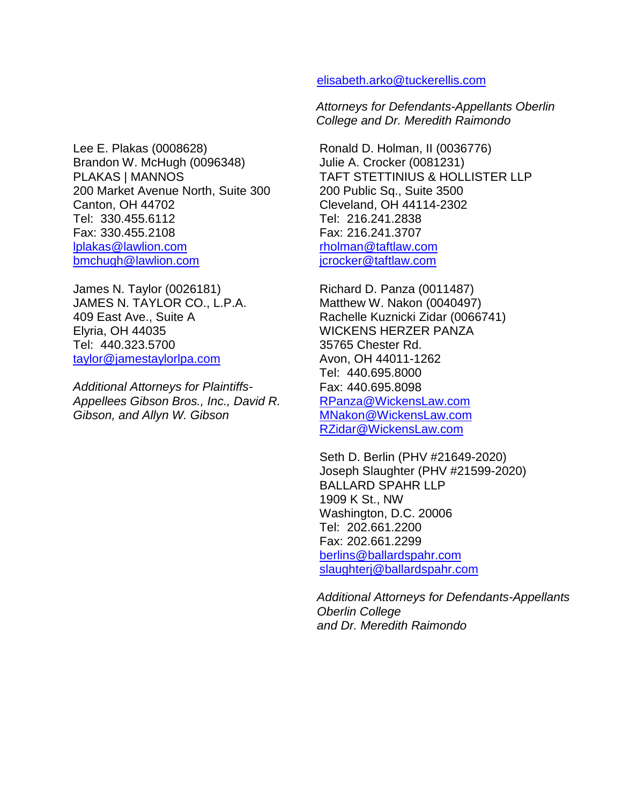Lee E. Plakas (0008628) Brandon W. McHugh (0096348) PLAKAS | MANNOS 200 Market Avenue North, Suite 300 Canton, OH 44702 Tel: 330.455.6112 Fax: 330.455.2108 lplakas@lawlion.com bmchugh@lawlion.com

James N. Taylor (0026181) JAMES N. TAYLOR CO., L.P.A. 409 East Ave., Suite A Elyria, OH 44035 Tel: 440.323.5700 taylor@jamestaylorlpa.com

*Additional Attorneys for Plaintiffs-Appellees Gibson Bros., Inc., David R. Gibson, and Allyn W. Gibson*

### elisabeth.arko@tuckerellis.com

*Attorneys for Defendants-Appellants Oberlin College and Dr. Meredith Raimondo* 

Ronald D. Holman, II (0036776) Julie A. Crocker (0081231) TAFT STETTINIUS & HOLLISTER LLP 200 Public Sq., Suite 3500 Cleveland, OH 44114-2302 Tel: 216.241.2838 Fax: 216.241.3707 rholman@taftlaw.com jcrocker@taftlaw.com

Richard D. Panza (0011487) Matthew W. Nakon (0040497) Rachelle Kuznicki Zidar (0066741) WICKENS HERZER PANZA 35765 Chester Rd. Avon, OH 44011-1262 Tel: 440.695.8000 Fax: 440.695.8098 RPanza@WickensLaw.com MNakon@WickensLaw.com RZidar@WickensLaw.com

Seth D. Berlin (PHV #21649-2020) Joseph Slaughter (PHV #21599-2020) BALLARD SPAHR LLP 1909 K St., NW Washington, D.C. 20006 Tel: 202.661.2200 Fax: 202.661.2299 berlins@ballardspahr.com slaughterj@ballardspahr.com

*Additional Attorneys for Defendants-Appellants Oberlin College and Dr. Meredith Raimondo*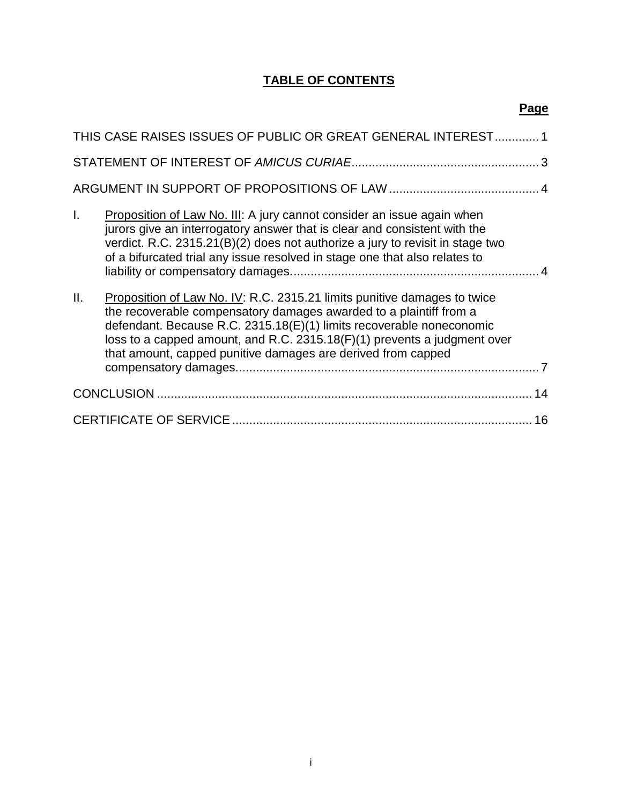# **TABLE OF CONTENTS**

# **Page**

| THIS CASE RAISES ISSUES OF PUBLIC OR GREAT GENERAL INTEREST 1 |                                                                                                                                                                                                                                                                                                                                                                    |  |
|---------------------------------------------------------------|--------------------------------------------------------------------------------------------------------------------------------------------------------------------------------------------------------------------------------------------------------------------------------------------------------------------------------------------------------------------|--|
|                                                               |                                                                                                                                                                                                                                                                                                                                                                    |  |
|                                                               |                                                                                                                                                                                                                                                                                                                                                                    |  |
| $\mathbf{L}$                                                  | <b>Proposition of Law No. III:</b> A jury cannot consider an issue again when<br>jurors give an interrogatory answer that is clear and consistent with the<br>verdict. R.C. 2315.21(B)(2) does not authorize a jury to revisit in stage two<br>of a bifurcated trial any issue resolved in stage one that also relates to                                          |  |
| Ш.                                                            | Proposition of Law No. IV: R.C. 2315.21 limits punitive damages to twice<br>the recoverable compensatory damages awarded to a plaintiff from a<br>defendant. Because R.C. 2315.18(E)(1) limits recoverable noneconomic<br>loss to a capped amount, and R.C. 2315.18(F)(1) prevents a judgment over<br>that amount, capped punitive damages are derived from capped |  |
|                                                               |                                                                                                                                                                                                                                                                                                                                                                    |  |
|                                                               | 16                                                                                                                                                                                                                                                                                                                                                                 |  |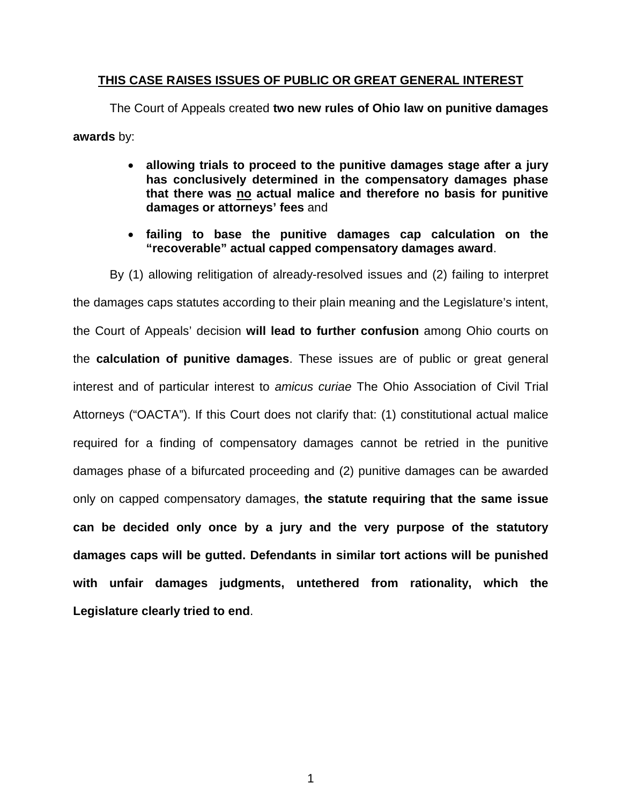### **THIS CASE RAISES ISSUES OF PUBLIC OR GREAT GENERAL INTEREST**

The Court of Appeals created **two new rules of Ohio law on punitive damages awards** by:

- **allowing trials to proceed to the punitive damages stage after a jury has conclusively determined in the compensatory damages phase that there was no actual malice and therefore no basis for punitive damages or attorneys' fees** and
- **failing to base the punitive damages cap calculation on the "recoverable" actual capped compensatory damages award**.

By (1) allowing relitigation of already-resolved issues and (2) failing to interpret the damages caps statutes according to their plain meaning and the Legislature's intent, the Court of Appeals' decision **will lead to further confusion** among Ohio courts on the **calculation of punitive damages**. These issues are of public or great general interest and of particular interest to *amicus curiae* The Ohio Association of Civil Trial Attorneys ("OACTA"). If this Court does not clarify that: (1) constitutional actual malice required for a finding of compensatory damages cannot be retried in the punitive damages phase of a bifurcated proceeding and (2) punitive damages can be awarded only on capped compensatory damages, **the statute requiring that the same issue can be decided only once by a jury and the very purpose of the statutory damages caps will be gutted. Defendants in similar tort actions will be punished with unfair damages judgments, untethered from rationality, which the Legislature clearly tried to end**.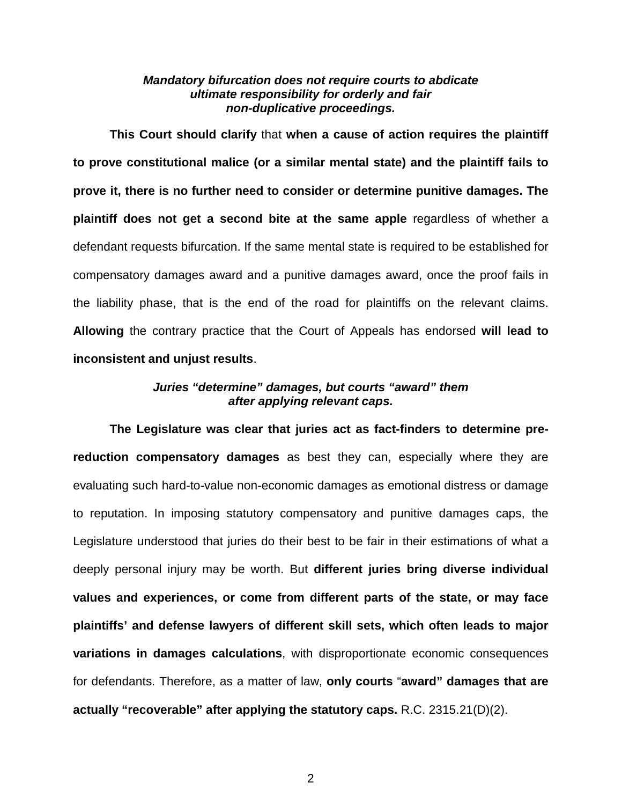### *Mandatory bifurcation does not require courts to abdicate ultimate responsibility for orderly and fair non-duplicative proceedings.*

**This Court should clarify** that **when a cause of action requires the plaintiff to prove constitutional malice (or a similar mental state) and the plaintiff fails to prove it, there is no further need to consider or determine punitive damages. The plaintiff does not get a second bite at the same apple** regardless of whether a defendant requests bifurcation. If the same mental state is required to be established for compensatory damages award and a punitive damages award, once the proof fails in the liability phase, that is the end of the road for plaintiffs on the relevant claims. **Allowing** the contrary practice that the Court of Appeals has endorsed **will lead to inconsistent and unjust results**.

## *Juries "determine" damages, but courts "award" them after applying relevant caps.*

**The Legislature was clear that juries act as fact-finders to determine prereduction compensatory damages** as best they can, especially where they are evaluating such hard-to-value non-economic damages as emotional distress or damage to reputation. In imposing statutory compensatory and punitive damages caps, the Legislature understood that juries do their best to be fair in their estimations of what a deeply personal injury may be worth. But **different juries bring diverse individual values and experiences, or come from different parts of the state, or may face plaintiffs' and defense lawyers of different skill sets, which often leads to major variations in damages calculations**, with disproportionate economic consequences for defendants. Therefore, as a matter of law, **only courts** "**award" damages that are actually "recoverable" after applying the statutory caps.** R.C. 2315.21(D)(2).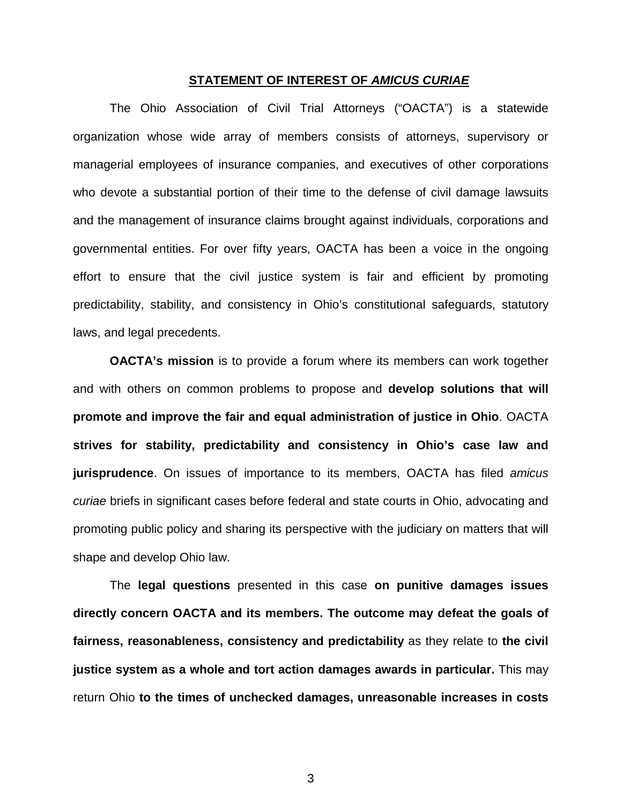#### **STATEMENT OF INTEREST OF** *AMICUS CURIAE*

The Ohio Association of Civil Trial Attorneys ("OACTA") is a statewide organization whose wide array of members consists of attorneys, supervisory or managerial employees of insurance companies, and executives of other corporations who devote a substantial portion of their time to the defense of civil damage lawsuits and the management of insurance claims brought against individuals, corporations and governmental entities. For over fifty years, OACTA has been a voice in the ongoing effort to ensure that the civil justice system is fair and efficient by promoting predictability, stability, and consistency in Ohio's constitutional safeguards, statutory laws, and legal precedents.

**OACTA's mission** is to provide a forum where its members can work together and with others on common problems to propose and **develop solutions that will promote and improve the fair and equal administration of justice in Ohio**. OACTA **strives for stability, predictability and consistency in Ohio's case law and jurisprudence**. On issues of importance to its members, OACTA has filed *amicus curiae* briefs in significant cases before federal and state courts in Ohio, advocating and promoting public policy and sharing its perspective with the judiciary on matters that will shape and develop Ohio law.

The **legal questions** presented in this case **on punitive damages issues directly concern OACTA and its members. The outcome may defeat the goals of fairness, reasonableness, consistency and predictability** as they relate to **the civil justice system as a whole and tort action damages awards in particular.** This may return Ohio **to the times of unchecked damages, unreasonable increases in costs**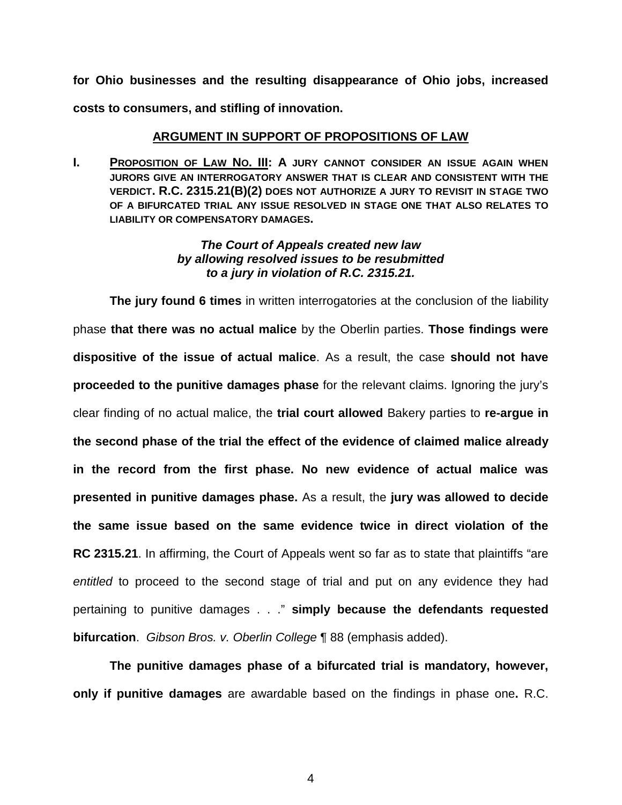**for Ohio businesses and the resulting disappearance of Ohio jobs, increased costs to consumers, and stifling of innovation.** 

# **ARGUMENT IN SUPPORT OF PROPOSITIONS OF LAW**

**I.** PROPOSITION OF LAW NO. III: A JURY CANNOT CONSIDER AN ISSUE AGAIN WHEN **JURORS GIVE AN INTERROGATORY ANSWER THAT IS CLEAR AND CONSISTENT WITH THE VERDICT. R.C. 2315.21(B)(2) DOES NOT AUTHORIZE A JURY TO REVISIT IN STAGE TWO OF A BIFURCATED TRIAL ANY ISSUE RESOLVED IN STAGE ONE THAT ALSO RELATES TO LIABILITY OR COMPENSATORY DAMAGES.** 

## *The Court of Appeals created new law by allowing resolved issues to be resubmitted to a jury in violation of R.C. 2315.21.*

**The jury found 6 times** in written interrogatories at the conclusion of the liability phase **that there was no actual malice** by the Oberlin parties. **Those findings were dispositive of the issue of actual malice**. As a result, the case **should not have proceeded to the punitive damages phase** for the relevant claims. Ignoring the jury's clear finding of no actual malice, the **trial court allowed** Bakery parties to **re-argue in the second phase of the trial the effect of the evidence of claimed malice already in the record from the first phase. No new evidence of actual malice was presented in punitive damages phase.** As a result, the **jury was allowed to decide the same issue based on the same evidence twice in direct violation of the RC 2315.21**. In affirming, the Court of Appeals went so far as to state that plaintiffs "are *entitled* to proceed to the second stage of trial and put on any evidence they had pertaining to punitive damages . . ." **simply because the defendants requested bifurcation**. *Gibson Bros. v. Oberlin College* ¶ 88 (emphasis added).

**The punitive damages phase of a bifurcated trial is mandatory, however, only if punitive damages** are awardable based on the findings in phase one**.** R.C.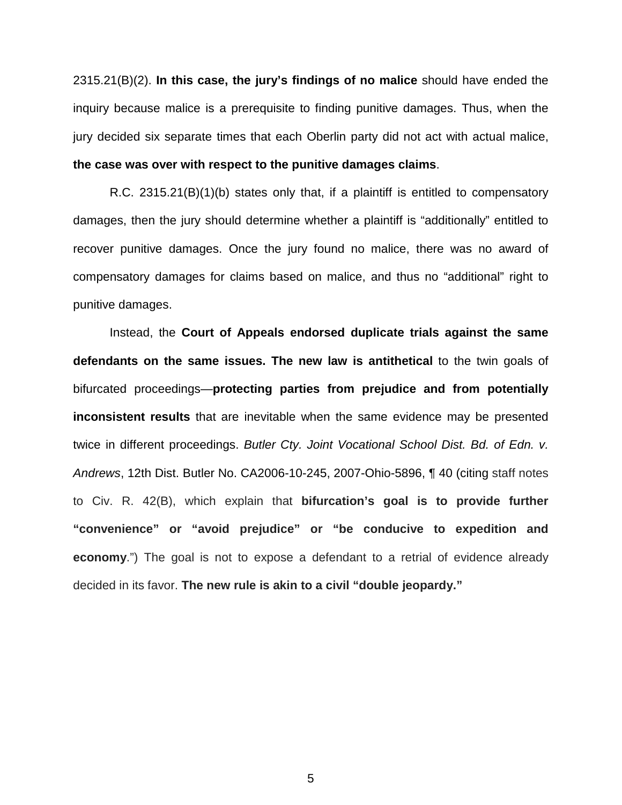2315.21(B)(2). **In this case, the jury's findings of no malice** should have ended the inquiry because malice is a prerequisite to finding punitive damages. Thus, when the jury decided six separate times that each Oberlin party did not act with actual malice, **the case was over with respect to the punitive damages claims**.

R.C. 2315.21(B)(1)(b) states only that, if a plaintiff is entitled to compensatory damages, then the jury should determine whether a plaintiff is "additionally" entitled to recover punitive damages. Once the jury found no malice, there was no award of compensatory damages for claims based on malice, and thus no "additional" right to punitive damages.

Instead, the **Court of Appeals endorsed duplicate trials against the same defendants on the same issues. The new law is antithetical** to the twin goals of bifurcated proceedings—**protecting parties from prejudice and from potentially inconsistent results** that are inevitable when the same evidence may be presented twice in different proceedings. *Butler Cty. Joint Vocational School Dist. Bd. of Edn. v. Andrews*, 12th Dist. Butler No. CA2006-10-245, 2007-Ohio-5896, ¶ 40 (citing staff notes to Civ. R. 42(B), which explain that **bifurcation's goal is to provide further "convenience" or "avoid prejudice" or "be conducive to expedition and economy**.") The goal is not to expose a defendant to a retrial of evidence already decided in its favor. **The new rule is akin to a civil "double jeopardy."**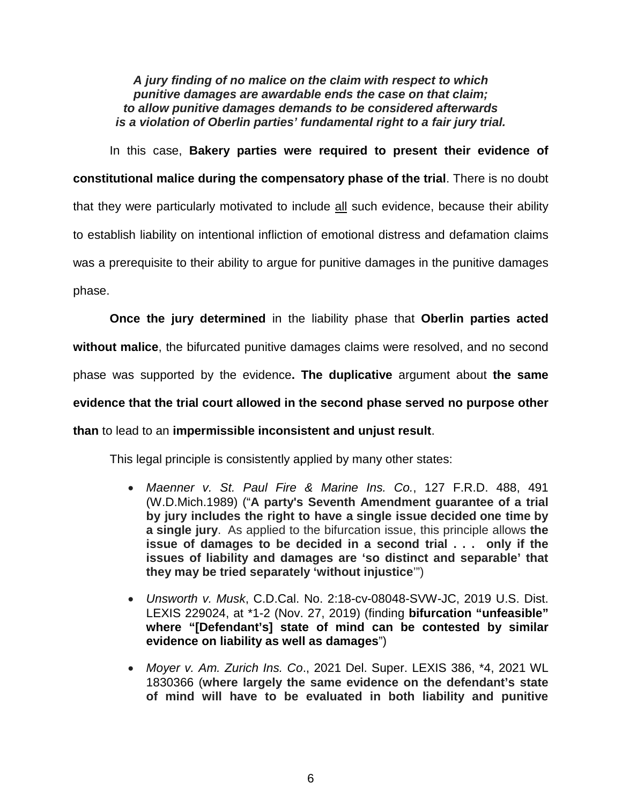*A jury finding of no malice on the claim with respect to which punitive damages are awardable ends the case on that claim; to allow punitive damages demands to be considered afterwards is a violation of Oberlin parties' fundamental right to a fair jury trial.* 

In this case, **Bakery parties were required to present their evidence of constitutional malice during the compensatory phase of the trial**. There is no doubt that they were particularly motivated to include all such evidence, because their ability to establish liability on intentional infliction of emotional distress and defamation claims was a prerequisite to their ability to argue for punitive damages in the punitive damages phase.

**Once the jury determined** in the liability phase that **Oberlin parties acted without malice**, the bifurcated punitive damages claims were resolved, and no second phase was supported by the evidence**. The duplicative** argument about **the same evidence that the trial court allowed in the second phase served no purpose other than** to lead to an **impermissible inconsistent and unjust result**.

This legal principle is consistently applied by many other states:

- *Maenner v. St. Paul Fire & Marine Ins. Co.*, 127 F.R.D. 488, 491 (W.D.Mich.1989) ("**A party's Seventh Amendment guarantee of a trial by jury includes the right to have a single issue decided one time by a single jury**. As applied to the bifurcation issue, this principle allows **the issue of damages to be decided in a second trial . . . only if the issues of liability and damages are 'so distinct and separable' that they may be tried separately 'without injustice**'")
- *Unsworth v. Musk*, C.D.Cal. No. 2:18-cv-08048-SVW-JC, 2019 U.S. Dist. LEXIS 229024, at \*1-2 (Nov. 27, 2019) (finding **bifurcation "unfeasible" where "[Defendant's] state of mind can be contested by similar evidence on liability as well as damages**")
- *Moyer v. Am. Zurich Ins. Co*., 2021 Del. Super. LEXIS 386, \*4, 2021 WL 1830366 (**where largely the same evidence on the defendant's state of mind will have to be evaluated in both liability and punitive**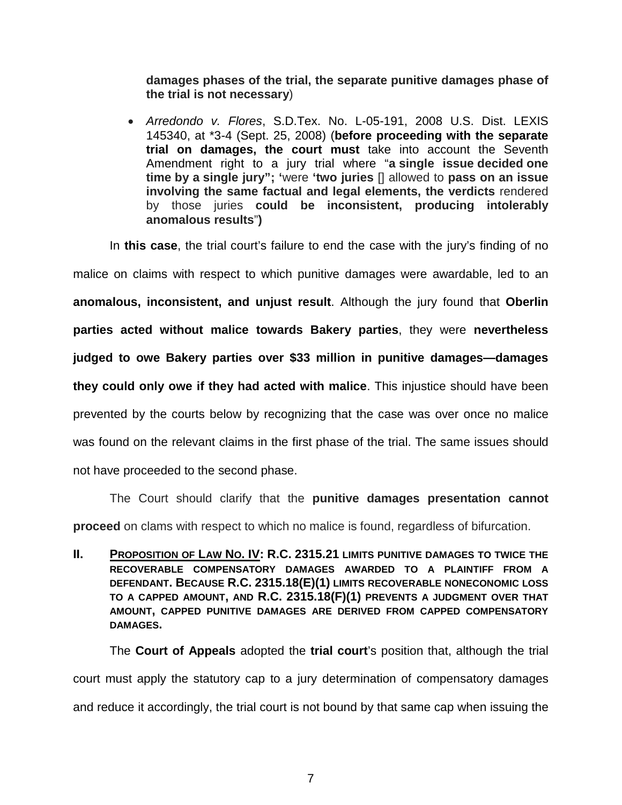**damages phases of the trial, the separate punitive damages phase of the trial is not necessary**)

 *Arredondo v. Flores*, S.D.Tex. No. L-05-191, 2008 U.S. Dist. LEXIS 145340, at \*3-4 (Sept. 25, 2008) (**before proceeding with the separate trial on damages, the court must** take into account the Seventh Amendment right to a jury trial where "**a single issue decided one time by a single jury"; '**were **'two juries** [] allowed to **pass on an issue involving the same factual and legal elements, the verdicts** rendered by those juries **could be inconsistent, producing intolerably anomalous results**"**)**

In **this case**, the trial court's failure to end the case with the jury's finding of no

malice on claims with respect to which punitive damages were awardable, led to an **anomalous, inconsistent, and unjust result**. Although the jury found that **Oberlin parties acted without malice towards Bakery parties**, they were **nevertheless judged to owe Bakery parties over \$33 million in punitive damages—damages they could only owe if they had acted with malice**. This injustice should have been prevented by the courts below by recognizing that the case was over once no malice was found on the relevant claims in the first phase of the trial. The same issues should not have proceeded to the second phase.

The Court should clarify that the **punitive damages presentation cannot proceed** on clams with respect to which no malice is found, regardless of bifurcation.

**II. PROPOSITION OF LAW NO. IV: R.C. 2315.21 LIMITS PUNITIVE DAMAGES TO TWICE THE RECOVERABLE COMPENSATORY DAMAGES AWARDED TO A PLAINTIFF FROM A DEFENDANT. BECAUSE R.C. 2315.18(E)(1) LIMITS RECOVERABLE NONECONOMIC LOSS TO A CAPPED AMOUNT, AND R.C. 2315.18(F)(1) PREVENTS A JUDGMENT OVER THAT AMOUNT, CAPPED PUNITIVE DAMAGES ARE DERIVED FROM CAPPED COMPENSATORY DAMAGES.** 

The **Court of Appeals** adopted the **trial court**'s position that, although the trial court must apply the statutory cap to a jury determination of compensatory damages and reduce it accordingly, the trial court is not bound by that same cap when issuing the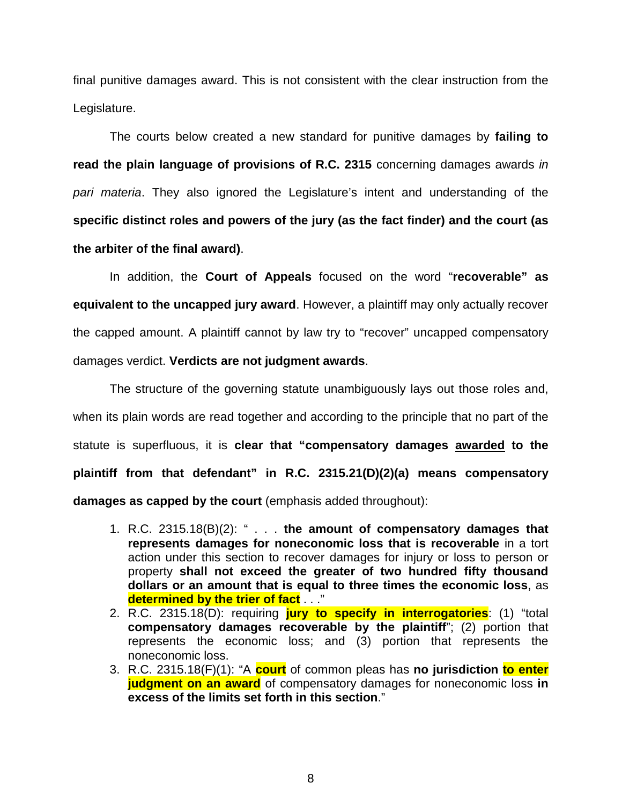final punitive damages award. This is not consistent with the clear instruction from the Legislature.

The courts below created a new standard for punitive damages by **failing to read the plain language of provisions of R.C. 2315** concerning damages awards *in pari materia*. They also ignored the Legislature's intent and understanding of the **specific distinct roles and powers of the jury (as the fact finder) and the court (as the arbiter of the final award)**.

In addition, the **Court of Appeals** focused on the word "**recoverable" as equivalent to the uncapped jury award**. However, a plaintiff may only actually recover the capped amount. A plaintiff cannot by law try to "recover" uncapped compensatory damages verdict. **Verdicts are not judgment awards**.

The structure of the governing statute unambiguously lays out those roles and, when its plain words are read together and according to the principle that no part of the statute is superfluous, it is **clear that "compensatory damages awarded to the plaintiff from that defendant" in R.C. 2315.21(D)(2)(a) means compensatory damages as capped by the court** (emphasis added throughout):

- 1. R.C. 2315.18(B)(2): " . . . **the amount of compensatory damages that represents damages for noneconomic loss that is recoverable** in a tort action under this section to recover damages for injury or loss to person or property **shall not exceed the greater of two hundred fifty thousand dollars or an amount that is equal to three times the economic loss**, as **determined by the trier of fact** . . ."
- 2. R.C. 2315.18(D): requiring **jury to specify in interrogatories**: (1) "total **compensatory damages recoverable by the plaintiff**"; (2) portion that represents the economic loss; and (3) portion that represents the noneconomic loss.
- 3. R.C. 2315.18(F)(1): "A **court** of common pleas has **no jurisdiction to enter judgment on an award** of compensatory damages for noneconomic loss **in excess of the limits set forth in this section**."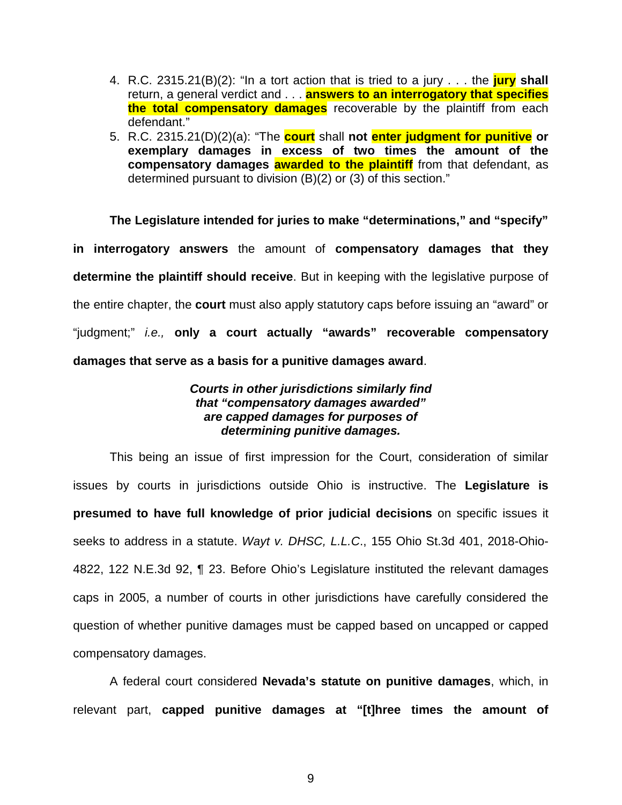- 4. R.C. 2315.21(B)(2): "In a tort action that is tried to a jury . . . the **jury shall** return, a general verdict and . . . **answers to an interrogatory that specifies the total compensatory damages** recoverable by the plaintiff from each defendant."
- 5. R.C. 2315.21(D)(2)(a): "The **court** shall **not enter judgment for punitive or exemplary damages in excess of two times the amount of the compensatory damages awarded to the plaintiff** from that defendant, as determined pursuant to division (B)(2) or (3) of this section."

**The Legislature intended for juries to make "determinations," and "specify" in interrogatory answers** the amount of **compensatory damages that they determine the plaintiff should receive**. But in keeping with the legislative purpose of the entire chapter, the **court** must also apply statutory caps before issuing an "award" or "judgment;" *i.e.,* **only a court actually "awards" recoverable compensatory damages that serve as a basis for a punitive damages award**.

## *Courts in other jurisdictions similarly find that "compensatory damages awarded" are capped damages for purposes of determining punitive damages.*

This being an issue of first impression for the Court, consideration of similar issues by courts in jurisdictions outside Ohio is instructive. The **Legislature is presumed to have full knowledge of prior judicial decisions** on specific issues it seeks to address in a statute. *Wayt v. DHSC, L.L.C*., 155 Ohio St.3d 401, 2018-Ohio-4822, 122 N.E.3d 92, ¶ 23. Before Ohio's Legislature instituted the relevant damages caps in 2005, a number of courts in other jurisdictions have carefully considered the question of whether punitive damages must be capped based on uncapped or capped compensatory damages.

A federal court considered **Nevada's statute on punitive damages**, which, in relevant part, **capped punitive damages at "[t]hree times the amount of**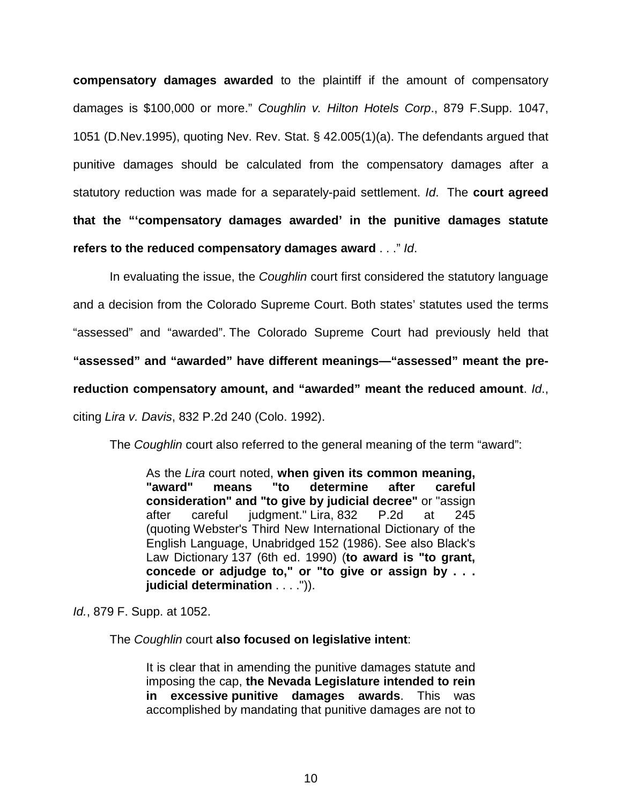**compensatory damages awarded** to the plaintiff if the amount of compensatory damages is \$100,000 or more." *Coughlin v. Hilton Hotels Corp*., 879 F.Supp. 1047, 1051 (D.Nev.1995), quoting Nev. Rev. Stat. § 42.005(1)(a). The defendants argued that punitive damages should be calculated from the compensatory damages after a statutory reduction was made for a separately-paid settlement. *Id*. The **court agreed that the "'compensatory damages awarded' in the punitive damages statute refers to the reduced compensatory damages award** . . ." *Id*.

In evaluating the issue, the *Coughlin* court first considered the statutory language and a decision from the Colorado Supreme Court. Both states' statutes used the terms "assessed" and "awarded". The Colorado Supreme Court had previously held that **"assessed" and "awarded" have different meanings—"assessed" meant the prereduction compensatory amount, and "awarded" meant the reduced amount**. *Id*., citing *Lira v. Davis*, 832 P.2d 240 (Colo. 1992).

The *Coughlin* court also referred to the general meaning of the term "award":

As the *Lira* court noted, **when given its common meaning, "award" means "to determine after careful consideration" and "to give by judicial decree"** or "assign after careful judgment." Lira, 832 P.2d at 245 (quoting Webster's Third New International Dictionary of the English Language, Unabridged 152 (1986). See also Black's Law Dictionary 137 (6th ed. 1990) (**to award is "to grant, concede or adjudge to," or "to give or assign by . . . judicial determination** . . . .")).

*Id.*, 879 F. Supp. at 1052.

The *Coughlin* court **also focused on legislative intent**:

It is clear that in amending the punitive damages statute and imposing the cap, **the Nevada Legislature intended to rein in excessive punitive damages awards**. This was accomplished by mandating that punitive damages are not to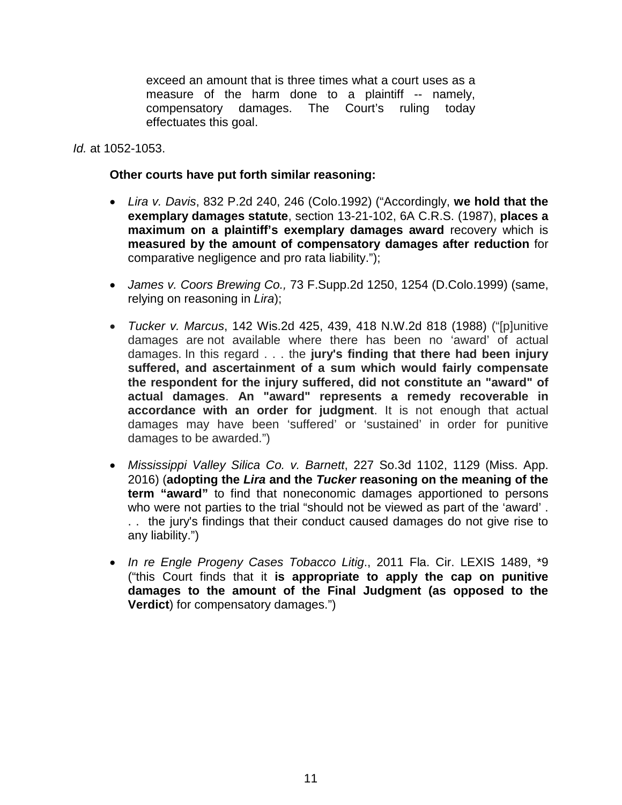exceed an amount that is three times what a court uses as a measure of the harm done to a plaintiff -- namely, compensatory damages. The Court's ruling today effectuates this goal.

*Id.* at 1052-1053.

## **Other courts have put forth similar reasoning:**

- *Lira v. Davis*, 832 P.2d 240, 246 (Colo.1992) ("Accordingly, **we hold that the exemplary damages statute**, section 13-21-102, 6A C.R.S. (1987), **places a maximum on a plaintiff's exemplary damages award** recovery which is **measured by the amount of compensatory damages after reduction** for comparative negligence and pro rata liability.");
- *James v. Coors Brewing Co.,* 73 F.Supp.2d 1250, 1254 (D.Colo.1999) (same, relying on reasoning in *Lira*);
- *Tucker v. Marcus*, 142 Wis.2d 425, 439, 418 N.W.2d 818 (1988) ("[p]unitive damages are not available where there has been no 'award' of actual damages. In this regard . . . the **jury's finding that there had been injury suffered, and ascertainment of a sum which would fairly compensate the respondent for the injury suffered, did not constitute an "award" of actual damages**. **An "award" represents a remedy recoverable in accordance with an order for judgment**. It is not enough that actual damages may have been 'suffered' or 'sustained' in order for punitive damages to be awarded.")
- *Mississippi Valley Silica Co. v. Barnett*, 227 So.3d 1102, 1129 (Miss. App. 2016) (**adopting the** *Lira* **and the** *Tucker* **reasoning on the meaning of the term "award"** to find that noneconomic damages apportioned to persons who were not parties to the trial "should not be viewed as part of the 'award' . . . the jury's findings that their conduct caused damages do not give rise to any liability.")
- *In re Engle Progeny Cases Tobacco Litig*., 2011 Fla. Cir. LEXIS 1489, \*9 ("this Court finds that it **is appropriate to apply the cap on punitive damages to the amount of the Final Judgment (as opposed to the Verdict**) for compensatory damages.")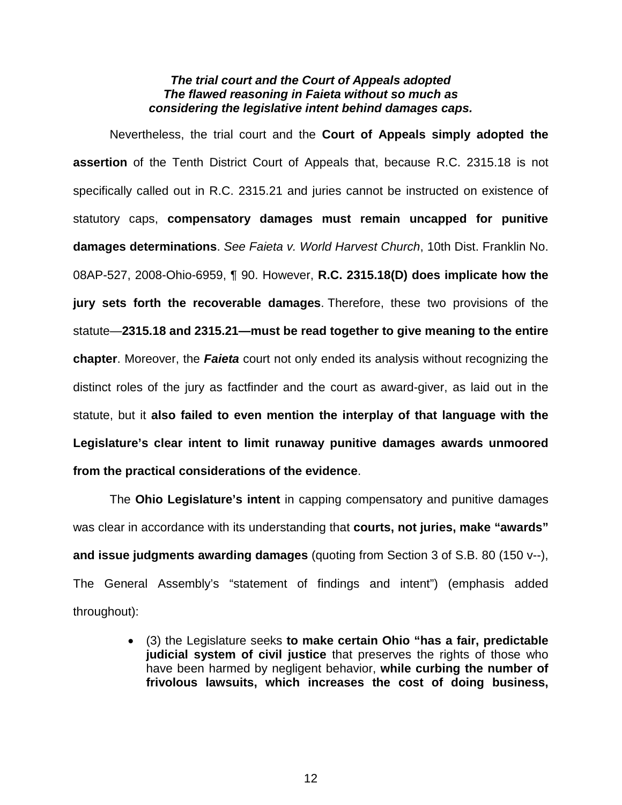### *The trial court and the Court of Appeals adopted The flawed reasoning in Faieta without so much as considering the legislative intent behind damages caps.*

Nevertheless, the trial court and the **Court of Appeals simply adopted the assertion** of the Tenth District Court of Appeals that, because R.C. 2315.18 is not specifically called out in R.C. 2315.21 and juries cannot be instructed on existence of statutory caps, **compensatory damages must remain uncapped for punitive damages determinations**. *See Faieta v. World Harvest Church*, 10th Dist. Franklin No. 08AP-527, 2008-Ohio-6959, ¶ 90. However, **R.C. 2315.18(D) does implicate how the jury sets forth the recoverable damages**. Therefore, these two provisions of the statute—**2315.18 and 2315.21—must be read together to give meaning to the entire chapter**. Moreover, the *Faieta* court not only ended its analysis without recognizing the distinct roles of the jury as factfinder and the court as award-giver, as laid out in the statute, but it **also failed to even mention the interplay of that language with the Legislature's clear intent to limit runaway punitive damages awards unmoored from the practical considerations of the evidence**.

The **Ohio Legislature's intent** in capping compensatory and punitive damages was clear in accordance with its understanding that **courts, not juries, make "awards" and issue judgments awarding damages** (quoting from Section 3 of S.B. 80 (150 v--), The General Assembly's "statement of findings and intent") (emphasis added throughout):

> (3) the Legislature seeks **to make certain Ohio "has a fair, predictable judicial system of civil justice** that preserves the rights of those who have been harmed by negligent behavior, **while curbing the number of frivolous lawsuits, which increases the cost of doing business,**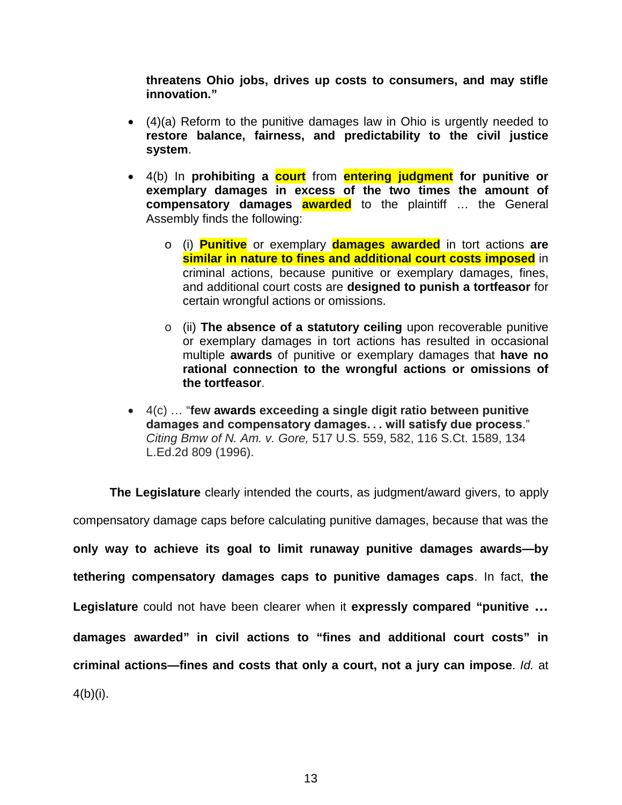**threatens Ohio jobs, drives up costs to consumers, and may stifle innovation."**

- (4)(a) Reform to the punitive damages law in Ohio is urgently needed to **restore balance, fairness, and predictability to the civil justice system**.
- 4(b) In **prohibiting a court** from **entering judgment for punitive or exemplary damages in excess of the two times the amount of compensatory damages awarded** to the plaintiff … the General Assembly finds the following:
	- o (i) **Punitive** or exemplary **damages awarded** in tort actions **are similar in nature to fines and additional court costs imposed** in criminal actions, because punitive or exemplary damages, fines, and additional court costs are **designed to punish a tortfeasor** for certain wrongful actions or omissions.
	- o (ii) **The absence of a statutory ceiling** upon recoverable punitive or exemplary damages in tort actions has resulted in occasional multiple **awards** of punitive or exemplary damages that **have no rational connection to the wrongful actions or omissions of the tortfeasor**.
- 4(c) … "**few awards exceeding a single digit ratio between punitive damages and compensatory damages. . . will satisfy due process**." *Citing Bmw of N. Am. v. Gore,* 517 U.S. 559, 582, 116 S.Ct. 1589, 134 L.Ed.2d 809 (1996).

**The Legislature** clearly intended the courts, as judgment/award givers, to apply compensatory damage caps before calculating punitive damages, because that was the **only way to achieve its goal to limit runaway punitive damages awards—by tethering compensatory damages caps to punitive damages caps**. In fact, **the Legislature** could not have been clearer when it **expressly compared "punitive … damages awarded" in civil actions to "fines and additional court costs" in criminal actions—fines and costs that only a court, not a jury can impose**. *Id.* at  $4(b)(i)$ .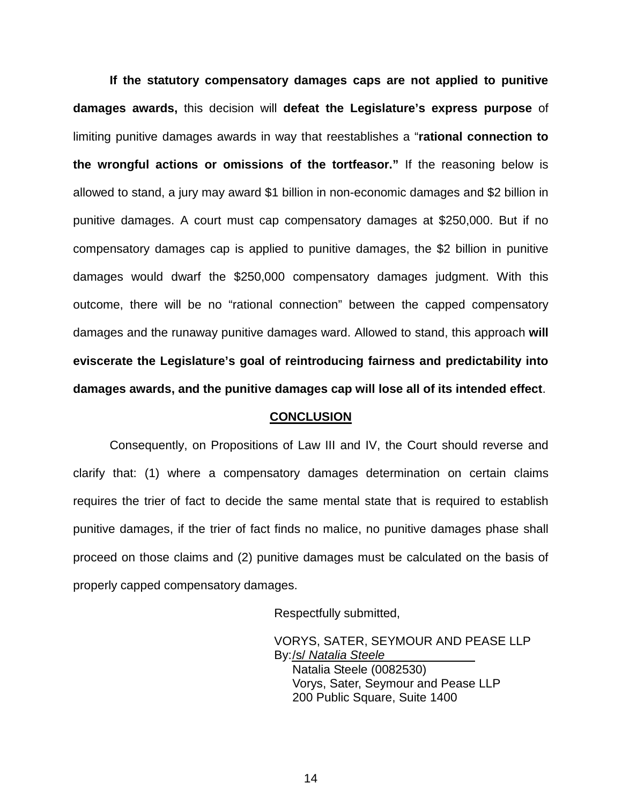**If the statutory compensatory damages caps are not applied to punitive damages awards,** this decision will **defeat the Legislature's express purpose** of limiting punitive damages awards in way that reestablishes a "**rational connection to the wrongful actions or omissions of the tortfeasor."** If the reasoning below is allowed to stand, a jury may award \$1 billion in non-economic damages and \$2 billion in punitive damages. A court must cap compensatory damages at \$250,000. But if no compensatory damages cap is applied to punitive damages, the \$2 billion in punitive damages would dwarf the \$250,000 compensatory damages judgment. With this outcome, there will be no "rational connection" between the capped compensatory damages and the runaway punitive damages ward. Allowed to stand, this approach **will eviscerate the Legislature's goal of reintroducing fairness and predictability into damages awards, and the punitive damages cap will lose all of its intended effect**.

#### **CONCLUSION**

Consequently, on Propositions of Law III and IV, the Court should reverse and clarify that: (1) where a compensatory damages determination on certain claims requires the trier of fact to decide the same mental state that is required to establish punitive damages, if the trier of fact finds no malice, no punitive damages phase shall proceed on those claims and (2) punitive damages must be calculated on the basis of properly capped compensatory damages.

Respectfully submitted,

VORYS, SATER, SEYMOUR AND PEASE LLP By: /s/ *Natalia Steele*

Natalia Steele (0082530) Vorys, Sater, Seymour and Pease LLP 200 Public Square, Suite 1400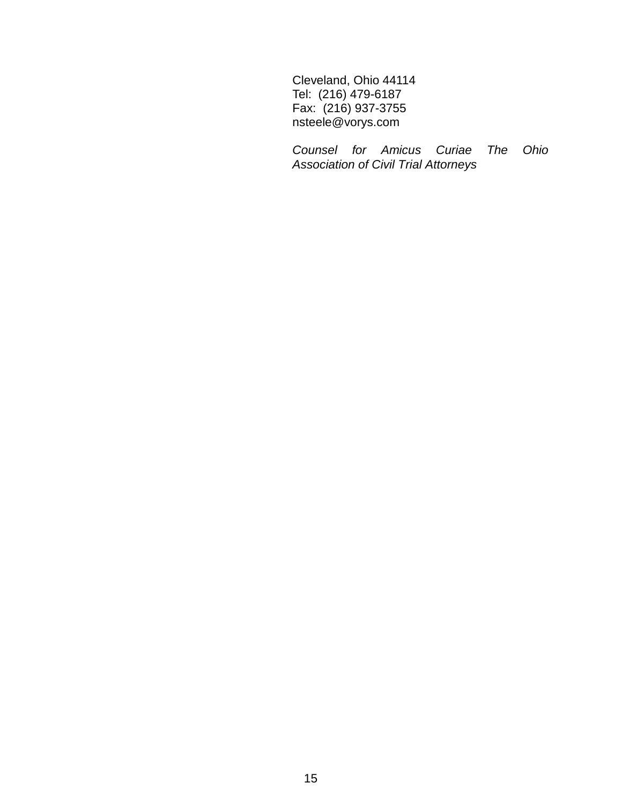Cleveland, Ohio 44114 Tel: (216) 479-6187 Fax: (216) 937-3755 nsteele@vorys.com

*Counsel for Amicus Curiae The Ohio Association of Civil Trial Attorneys*